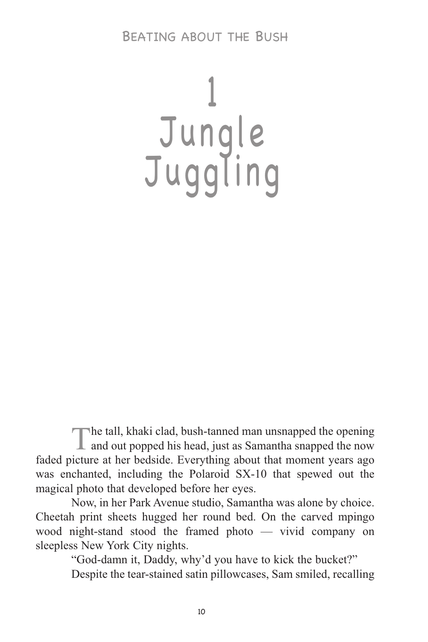# 1 Jungle Juggling

The tall, khaki clad, bush-tanned man unsnapped the opening **L** and out popped his head, just as Samantha snapped the now faded picture at her bedside. Everything about that moment years ago was enchanted, including the Polaroid SX-10 that spewed out the magical photo that developed before her eyes.

Now, in her Park Avenue studio, Samantha was alone by choice. Cheetah print sheets hugged her round bed. On the carved mpingo wood night-stand stood the framed photo — vivid company on sleepless New York City nights.

"God-damn it, Daddy, why'd you have to kick the bucket?"

Despite the tear-stained satin pillowcases, Sam smiled, recalling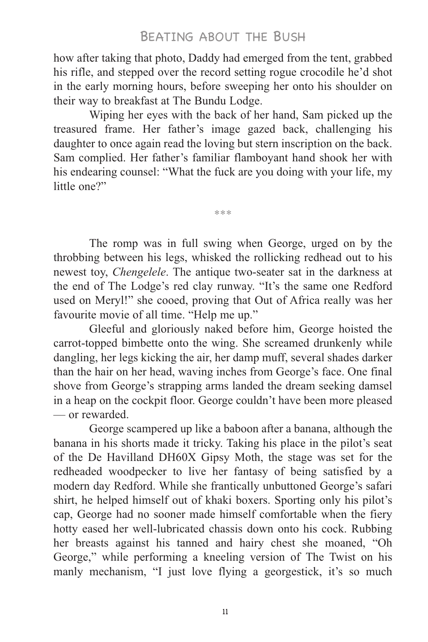how after taking that photo, Daddy had emerged from the tent, grabbed his rifle, and stepped over the record setting rogue crocodile he'd shot in the early morning hours, before sweeping her onto his shoulder on their way to breakfast at The Bundu Lodge.

Wiping her eyes with the back of her hand, Sam picked up the treasured frame. Her father's image gazed back, challenging his daughter to once again read the loving but stern inscription on the back. Sam complied. Her father's familiar flamboyant hand shook her with his endearing counsel: "What the fuck are you doing with your life, my little one?"

\*\*\*

The romp was in full swing when George, urged on by the throbbing between his legs, whisked the rollicking redhead out to his newest toy, *Chengelele*. The antique two-seater sat in the darkness at the end of The Lodge's red clay runway. "It's the same one Redford used on Meryl!" she cooed, proving that Out of Africa really was her favourite movie of all time. "Help me up."

Gleeful and gloriously naked before him, George hoisted the carrot-topped bimbette onto the wing. She screamed drunkenly while dangling, her legs kicking the air, her damp muff, several shades darker than the hair on her head, waving inches from George's face. One final shove from George's strapping arms landed the dream seeking damsel in a heap on the cockpit floor. George couldn't have been more pleased — or rewarded.

George scampered up like a baboon after a banana, although the banana in his shorts made it tricky. Taking his place in the pilot's seat of the De Havilland DH60X Gipsy Moth, the stage was set for the redheaded woodpecker to live her fantasy of being satisfied by a modern day Redford. While she frantically unbuttoned George's safari shirt, he helped himself out of khaki boxers. Sporting only his pilot's cap, George had no sooner made himself comfortable when the fiery hotty eased her well-lubricated chassis down onto his cock. Rubbing her breasts against his tanned and hairy chest she moaned, "Oh George," while performing a kneeling version of The Twist on his manly mechanism, "I just love flying a georgestick, it's so much

11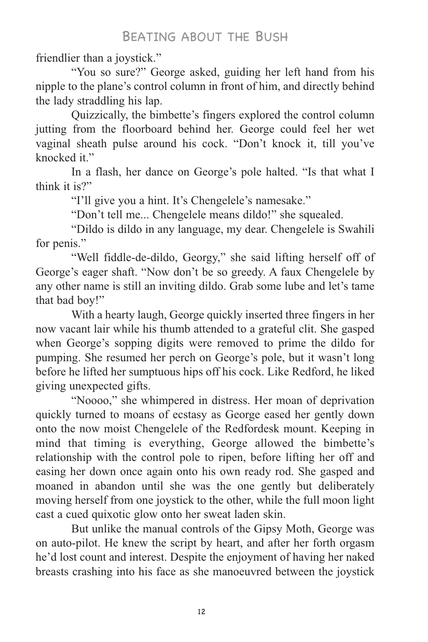friendlier than a joystick."

"You so sure?" George asked, guiding her left hand from his nipple to the plane's control column in front of him, and directly behind the lady straddling his lap.

Quizzically, the bimbette's fingers explored the control column jutting from the floorboard behind her. George could feel her wet vaginal sheath pulse around his cock. "Don't knock it, till you've knocked it."

In a flash, her dance on George's pole halted. "Is that what I think it is?"

"I'll give you a hint. It's Chengelele's namesake."

"Don't tell me... Chengelele means dildo!" she squealed.

"Dildo is dildo in any language, my dear. Chengelele is Swahili for penis."

"Well fiddle-de-dildo, Georgy," she said lifting herself off of George's eager shaft. "Now don't be so greedy. A faux Chengelele by any other name is still an inviting dildo. Grab some lube and let's tame that bad boy!"

With a hearty laugh, George quickly inserted three fingers in her now vacant lair while his thumb attended to a grateful clit. She gasped when George's sopping digits were removed to prime the dildo for pumping. She resumed her perch on George's pole, but it wasn't long before he lifted her sumptuous hips off his cock. Like Redford, he liked giving unexpected gifts.

"Noooo," she whimpered in distress. Her moan of deprivation quickly turned to moans of ecstasy as George eased her gently down onto the now moist Chengelele of the Redfordesk mount. Keeping in mind that timing is everything, George allowed the bimbette's relationship with the control pole to ripen, before lifting her off and easing her down once again onto his own ready rod. She gasped and moaned in abandon until she was the one gently but deliberately moving herself from one joystick to the other, while the full moon light cast a cued quixotic glow onto her sweat laden skin.

But unlike the manual controls of the Gipsy Moth, George was on auto-pilot. He knew the script by heart, and after her forth orgasm he'd lost count and interest. Despite the enjoyment of having her naked breasts crashing into his face as she manoeuvred between the joystick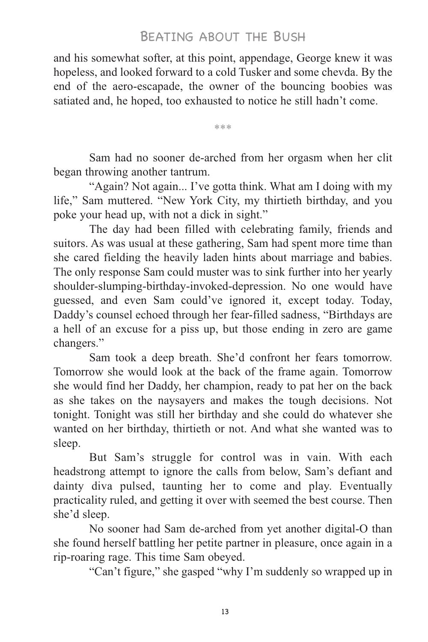and his somewhat softer, at this point, appendage, George knew it was hopeless, and looked forward to a cold Tusker and some chevda. By the end of the aero-escapade, the owner of the bouncing boobies was satiated and, he hoped, too exhausted to notice he still hadn't come.

\*\*\*

Sam had no sooner de-arched from her orgasm when her clit began throwing another tantrum.

"Again? Not again... I've gotta think. What am I doing with my life," Sam muttered. "New York City, my thirtieth birthday, and you poke your head up, with not a dick in sight."

The day had been filled with celebrating family, friends and suitors. As was usual at these gathering, Sam had spent more time than she cared fielding the heavily laden hints about marriage and babies. The only response Sam could muster was to sink further into her yearly shoulder-slumping-birthday-invoked-depression. No one would have guessed, and even Sam could've ignored it, except today. Today, Daddy's counsel echoed through her fear-filled sadness, "Birthdays are a hell of an excuse for a piss up, but those ending in zero are game changers."

Sam took a deep breath. She'd confront her fears tomorrow. Tomorrow she would look at the back of the frame again. Tomorrow she would find her Daddy, her champion, ready to pat her on the back as she takes on the naysayers and makes the tough decisions. Not tonight. Tonight was still her birthday and she could do whatever she wanted on her birthday, thirtieth or not. And what she wanted was to sleep.

But Sam's struggle for control was in vain. With each headstrong attempt to ignore the calls from below, Sam's defiant and dainty diva pulsed, taunting her to come and play. Eventually practicality ruled, and getting it over with seemed the best course. Then she'd sleep.

No sooner had Sam de-arched from yet another digital-O than she found herself battling her petite partner in pleasure, once again in a rip-roaring rage. This time Sam obeyed.

"Can't figure," she gasped "why I'm suddenly so wrapped up in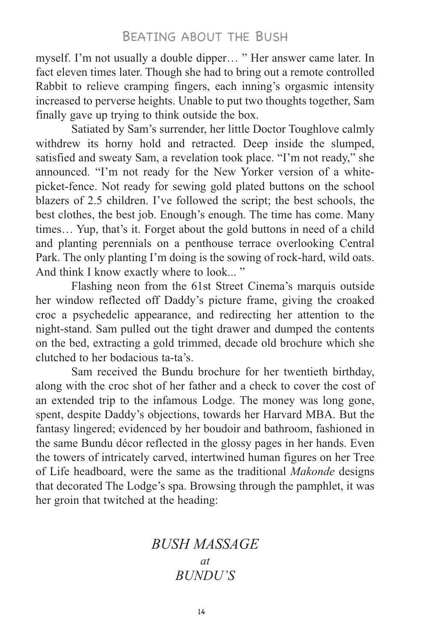myself. I'm not usually a double dipper… " Her answer came later. In fact eleven times later. Though she had to bring out a remote controlled Rabbit to relieve cramping fingers, each inning's orgasmic intensity increased to perverse heights. Unable to put two thoughts together, Sam finally gave up trying to think outside the box.

Satiated by Sam's surrender, her little Doctor Toughlove calmly withdrew its horny hold and retracted. Deep inside the slumped, satisfied and sweaty Sam, a revelation took place. "I'm not ready," she announced. "I'm not ready for the New Yorker version of a whitepicket-fence. Not ready for sewing gold plated buttons on the school blazers of 2.5 children. I've followed the script; the best schools, the best clothes, the best job. Enough's enough. The time has come. Many times… Yup, that's it. Forget about the gold buttons in need of a child and planting perennials on a penthouse terrace overlooking Central Park. The only planting I'm doing is the sowing of rock-hard, wild oats. And think I know exactly where to look... "

Flashing neon from the 61st Street Cinema's marquis outside her window reflected off Daddy's picture frame, giving the croaked croc a psychedelic appearance, and redirecting her attention to the night-stand. Sam pulled out the tight drawer and dumped the contents on the bed, extracting a gold trimmed, decade old brochure which she clutched to her bodacious ta-ta's.

Sam received the Bundu brochure for her twentieth birthday, along with the croc shot of her father and a check to cover the cost of an extended trip to the infamous Lodge. The money was long gone, spent, despite Daddy's objections, towards her Harvard MBA. But the fantasy lingered; evidenced by her boudoir and bathroom, fashioned in the same Bundu décor reflected in the glossy pages in her hands. Even the towers of intricately carved, intertwined human figures on her Tree of Life headboard, were the same as the traditional *Makonde* designs that decorated The Lodge's spa. Browsing through the pamphlet, it was her groin that twitched at the heading:

# *BUSH MASSAGE at BUNDU'S*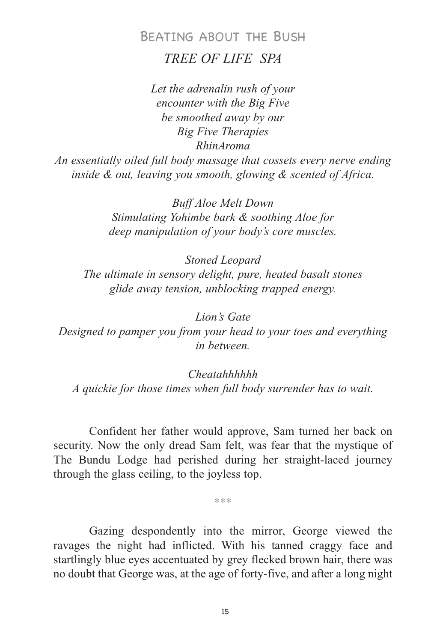# BEATING ABOUT THE BUSH *TREE OF LIFE SPA*

*Let the adrenalin rush of your encounter with the Big Five be smoothed away by our Big Five Therapies RhinAroma*

*An essentially oiled full body massage that cossets every nerve ending inside & out, leaving you smooth, glowing & scented of Africa.*

> *Buff Aloe Melt Down Stimulating Yohimbe bark & soothing Aloe for deep manipulation of your body's core muscles.*

*Stoned Leopard The ultimate in sensory delight, pure, heated basalt stones glide away tension, unblocking trapped energy.*

*Lion's Gate Designed to pamper you from your head to your toes and everything in between.*

*Cheatahhhhhh A quickie for those times when full body surrender has to wait.*

Confident her father would approve, Sam turned her back on security. Now the only dread Sam felt, was fear that the mystique of The Bundu Lodge had perished during her straight-laced journey through the glass ceiling, to the joyless top.

\*\*\*

Gazing despondently into the mirror, George viewed the ravages the night had inflicted. With his tanned craggy face and startlingly blue eyes accentuated by grey flecked brown hair, there was no doubt that George was, at the age of forty-five, and after a long night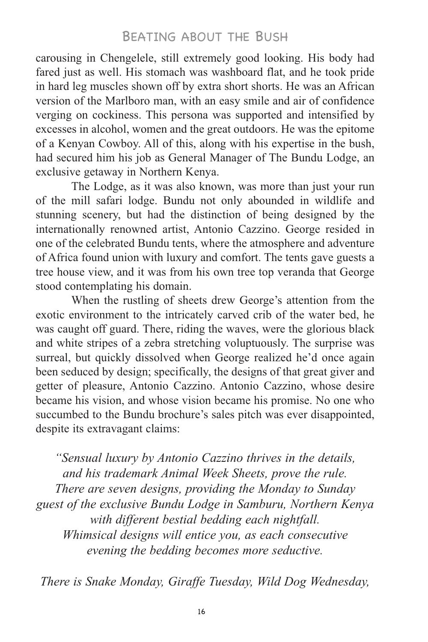carousing in Chengelele, still extremely good looking. His body had fared just as well. His stomach was washboard flat, and he took pride in hard leg muscles shown off by extra short shorts. He was an African version of the Marlboro man, with an easy smile and air of confidence verging on cockiness. This persona was supported and intensified by excesses in alcohol, women and the great outdoors. He was the epitome of a Kenyan Cowboy. All of this, along with his expertise in the bush, had secured him his job as General Manager of The Bundu Lodge, an exclusive getaway in Northern Kenya.

The Lodge, as it was also known, was more than just your run of the mill safari lodge. Bundu not only abounded in wildlife and stunning scenery, but had the distinction of being designed by the internationally renowned artist, Antonio Cazzino. George resided in one of the celebrated Bundu tents, where the atmosphere and adventure of Africa found union with luxury and comfort. The tents gave guests a tree house view, and it was from his own tree top veranda that George stood contemplating his domain.

When the rustling of sheets drew George's attention from the exotic environment to the intricately carved crib of the water bed, he was caught off guard. There, riding the waves, were the glorious black and white stripes of a zebra stretching voluptuously. The surprise was surreal, but quickly dissolved when George realized he'd once again been seduced by design; specifically, the designs of that great giver and getter of pleasure, Antonio Cazzino. Antonio Cazzino, whose desire became his vision, and whose vision became his promise. No one who succumbed to the Bundu brochure's sales pitch was ever disappointed, despite its extravagant claims:

*"Sensual luxury by Antonio Cazzino thrives in the details, and his trademark Animal Week Sheets, prove the rule. There are seven designs, providing the Monday to Sunday guest of the exclusive Bundu Lodge in Samburu, Northern Kenya with different bestial bedding each nightfall. Whimsical designs will entice you, as each consecutive evening the bedding becomes more seductive.*

*There is Snake Monday, Giraffe Tuesday, Wild Dog Wednesday,*